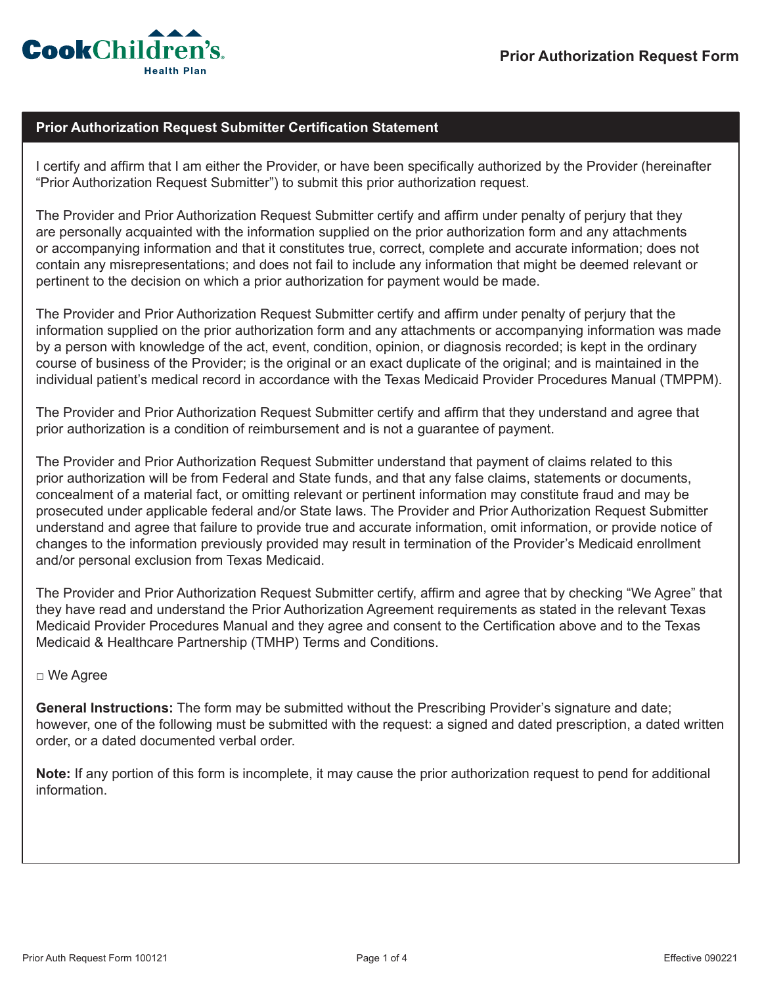

## **Prior Authorization Request Submitter Certification Statement**

I certify and affirm that I am either the Provider, or have been specifically authorized by the Provider (hereinafter "Prior Authorization Request Submitter") to submit this prior authorization request.

The Provider and Prior Authorization Request Submitter certify and affirm under penalty of perjury that they are personally acquainted with the information supplied on the prior authorization form and any attachments or accompanying information and that it constitutes true, correct, complete and accurate information; does not contain any misrepresentations; and does not fail to include any information that might be deemed relevant or pertinent to the decision on which a prior authorization for payment would be made.

The Provider and Prior Authorization Request Submitter certify and affirm under penalty of perjury that the information supplied on the prior authorization form and any attachments or accompanying information was made by a person with knowledge of the act, event, condition, opinion, or diagnosis recorded; is kept in the ordinary course of business of the Provider; is the original or an exact duplicate of the original; and is maintained in the individual patient's medical record in accordance with the Texas Medicaid Provider Procedures Manual (TMPPM).

The Provider and Prior Authorization Request Submitter certify and affirm that they understand and agree that prior authorization is a condition of reimbursement and is not a guarantee of payment.

The Provider and Prior Authorization Request Submitter understand that payment of claims related to this prior authorization will be from Federal and State funds, and that any false claims, statements or documents, concealment of a material fact, or omitting relevant or pertinent information may constitute fraud and may be prosecuted under applicable federal and/or State laws. The Provider and Prior Authorization Request Submitter understand and agree that failure to provide true and accurate information, omit information, or provide notice of changes to the information previously provided may result in termination of the Provider's Medicaid enrollment and/or personal exclusion from Texas Medicaid.

The Provider and Prior Authorization Request Submitter certify, affirm and agree that by checking "We Agree" that they have read and understand the Prior Authorization Agreement requirements as stated in the relevant Texas Medicaid Provider Procedures Manual and they agree and consent to the Certification above and to the Texas Medicaid & Healthcare Partnership (TMHP) Terms and Conditions.

## □ We Agree

**General Instructions:** The form may be submitted without the Prescribing Provider's signature and date; however, one of the following must be submitted with the request: a signed and dated prescription, a dated written order, or a dated documented verbal order.

**Note:** If any portion of this form is incomplete, it may cause the prior authorization request to pend for additional information.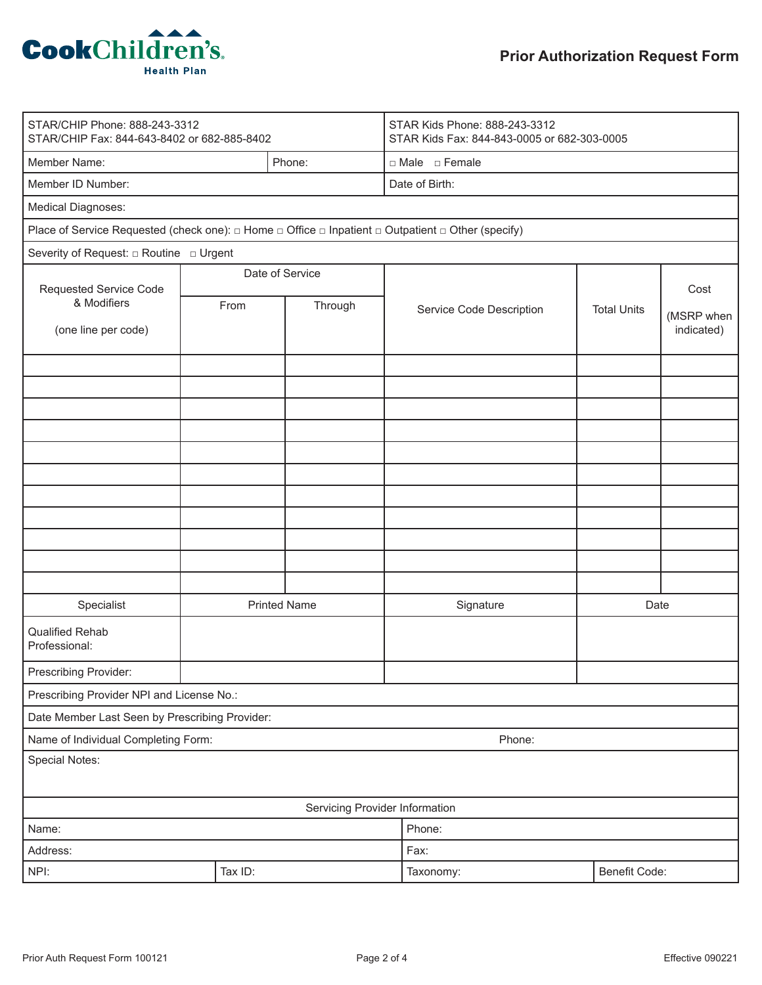

| STAR/CHIP Phone: 888-243-3312<br>STAR/CHIP Fax: 844-643-8402 or 682-885-8402                                                |                     |         | STAR Kids Phone: 888-243-3312<br>STAR Kids Fax: 844-843-0005 or 682-303-0005 |               |                    |                          |  |
|-----------------------------------------------------------------------------------------------------------------------------|---------------------|---------|------------------------------------------------------------------------------|---------------|--------------------|--------------------------|--|
| Member Name:                                                                                                                |                     | Phone:  | □ Male □ Female                                                              |               |                    |                          |  |
| Member ID Number:                                                                                                           |                     |         | Date of Birth:                                                               |               |                    |                          |  |
| Medical Diagnoses:                                                                                                          |                     |         |                                                                              |               |                    |                          |  |
| Place of Service Requested (check one): $\Box$ Home $\Box$ Office $\Box$ Inpatient $\Box$ Outpatient $\Box$ Other (specify) |                     |         |                                                                              |               |                    |                          |  |
| Severity of Request: $\Box$ Routine $\Box$ Urgent                                                                           |                     |         |                                                                              |               |                    |                          |  |
| Requested Service Code<br>& Modifiers<br>(one line per code)                                                                | Date of Service     |         |                                                                              |               |                    | Cost                     |  |
|                                                                                                                             | From                | Through | Service Code Description                                                     |               | <b>Total Units</b> |                          |  |
|                                                                                                                             |                     |         |                                                                              |               |                    | (MSRP when<br>indicated) |  |
|                                                                                                                             |                     |         |                                                                              |               |                    |                          |  |
|                                                                                                                             |                     |         |                                                                              |               |                    |                          |  |
|                                                                                                                             |                     |         |                                                                              |               |                    |                          |  |
|                                                                                                                             |                     |         |                                                                              |               |                    |                          |  |
|                                                                                                                             |                     |         |                                                                              |               |                    |                          |  |
|                                                                                                                             |                     |         |                                                                              |               |                    |                          |  |
|                                                                                                                             |                     |         |                                                                              |               |                    |                          |  |
|                                                                                                                             |                     |         |                                                                              |               |                    |                          |  |
|                                                                                                                             |                     |         |                                                                              |               |                    |                          |  |
|                                                                                                                             |                     |         |                                                                              |               |                    |                          |  |
|                                                                                                                             |                     |         |                                                                              |               |                    |                          |  |
| Specialist                                                                                                                  | <b>Printed Name</b> |         | Signature                                                                    |               | Date               |                          |  |
| <b>Qualified Rehab</b><br>Professional:                                                                                     |                     |         |                                                                              |               |                    |                          |  |
| Prescribing Provider:                                                                                                       |                     |         |                                                                              |               |                    |                          |  |
| Prescribing Provider NPI and License No.:                                                                                   |                     |         |                                                                              |               |                    |                          |  |
| Date Member Last Seen by Prescribing Provider:                                                                              |                     |         |                                                                              |               |                    |                          |  |
| Name of Individual Completing Form:                                                                                         |                     |         | Phone:                                                                       |               |                    |                          |  |
| Special Notes:                                                                                                              |                     |         |                                                                              |               |                    |                          |  |
|                                                                                                                             |                     |         | Servicing Provider Information                                               |               |                    |                          |  |
| Name:                                                                                                                       | Phone:              |         |                                                                              |               |                    |                          |  |
| Address:                                                                                                                    |                     |         | Fax:                                                                         |               |                    |                          |  |
| NPI:                                                                                                                        | Tax ID:             |         | Taxonomy:                                                                    | Benefit Code: |                    |                          |  |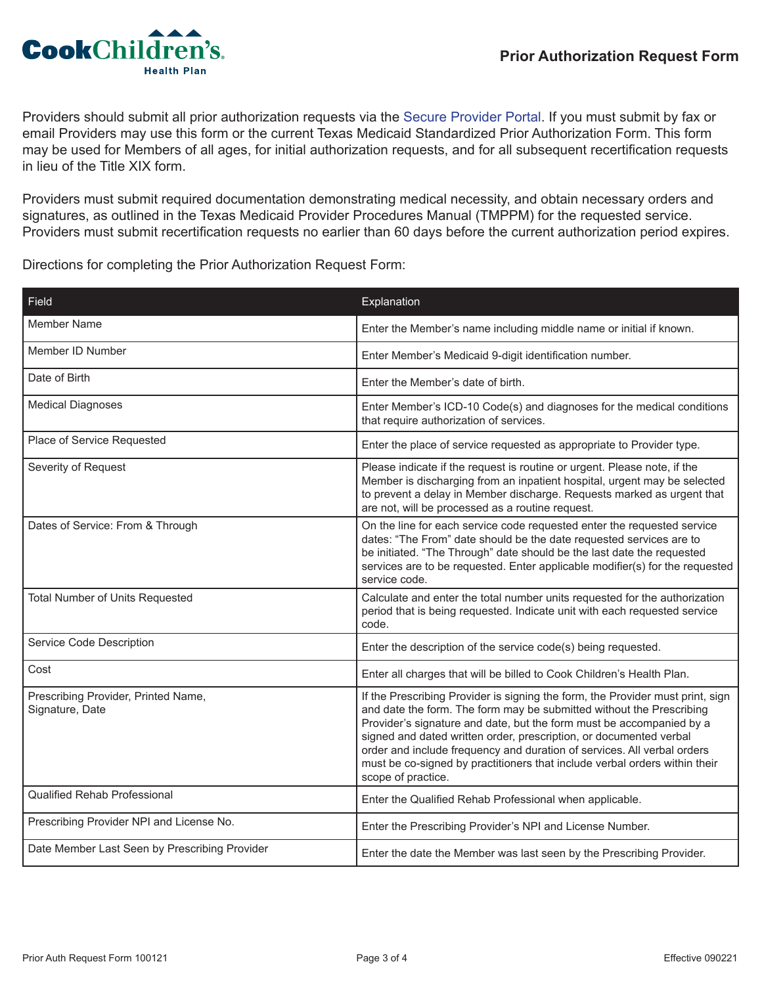

Providers should submit all prior authorization requests via the [Secure Provider Portal](https://epiccarelink.cookchp.org/LinkHealthPlan/common/epic_login.asp). If you must submit by fax or email Providers may use this form or the current Texas Medicaid Standardized Prior Authorization Form. This form may be used for Members of all ages, for initial authorization requests, and for all subsequent recertification requests in lieu of the Title XIX form.

Providers must submit required documentation demonstrating medical necessity, and obtain necessary orders and signatures, as outlined in the Texas Medicaid Provider Procedures Manual (TMPPM) for the requested service. Providers must submit recertification requests no earlier than 60 days before the current authorization period expires.

Directions for completing the Prior Authorization Request Form:

| Field                                                  | Explanation                                                                                                                                                                                                                                                                                                                                                                                                                                                                         |
|--------------------------------------------------------|-------------------------------------------------------------------------------------------------------------------------------------------------------------------------------------------------------------------------------------------------------------------------------------------------------------------------------------------------------------------------------------------------------------------------------------------------------------------------------------|
| Member Name                                            | Enter the Member's name including middle name or initial if known.                                                                                                                                                                                                                                                                                                                                                                                                                  |
| Member ID Number                                       | Enter Member's Medicaid 9-digit identification number.                                                                                                                                                                                                                                                                                                                                                                                                                              |
| Date of Birth                                          | Enter the Member's date of birth.                                                                                                                                                                                                                                                                                                                                                                                                                                                   |
| <b>Medical Diagnoses</b>                               | Enter Member's ICD-10 Code(s) and diagnoses for the medical conditions<br>that require authorization of services.                                                                                                                                                                                                                                                                                                                                                                   |
| Place of Service Requested                             | Enter the place of service requested as appropriate to Provider type.                                                                                                                                                                                                                                                                                                                                                                                                               |
| Severity of Request                                    | Please indicate if the request is routine or urgent. Please note, if the<br>Member is discharging from an inpatient hospital, urgent may be selected<br>to prevent a delay in Member discharge. Requests marked as urgent that<br>are not, will be processed as a routine request.                                                                                                                                                                                                  |
| Dates of Service: From & Through                       | On the line for each service code requested enter the requested service<br>dates: "The From" date should be the date requested services are to<br>be initiated. "The Through" date should be the last date the requested<br>services are to be requested. Enter applicable modifier(s) for the requested<br>service code.                                                                                                                                                           |
| Total Number of Units Requested                        | Calculate and enter the total number units requested for the authorization<br>period that is being requested. Indicate unit with each requested service<br>code.                                                                                                                                                                                                                                                                                                                    |
| Service Code Description                               | Enter the description of the service code(s) being requested.                                                                                                                                                                                                                                                                                                                                                                                                                       |
| Cost                                                   | Enter all charges that will be billed to Cook Children's Health Plan.                                                                                                                                                                                                                                                                                                                                                                                                               |
| Prescribing Provider, Printed Name,<br>Signature, Date | If the Prescribing Provider is signing the form, the Provider must print, sign<br>and date the form. The form may be submitted without the Prescribing<br>Provider's signature and date, but the form must be accompanied by a<br>signed and dated written order, prescription, or documented verbal<br>order and include frequency and duration of services. All verbal orders<br>must be co-signed by practitioners that include verbal orders within their<br>scope of practice. |
| <b>Qualified Rehab Professional</b>                    | Enter the Qualified Rehab Professional when applicable.                                                                                                                                                                                                                                                                                                                                                                                                                             |
| Prescribing Provider NPI and License No.               | Enter the Prescribing Provider's NPI and License Number.                                                                                                                                                                                                                                                                                                                                                                                                                            |
| Date Member Last Seen by Prescribing Provider          | Enter the date the Member was last seen by the Prescribing Provider.                                                                                                                                                                                                                                                                                                                                                                                                                |